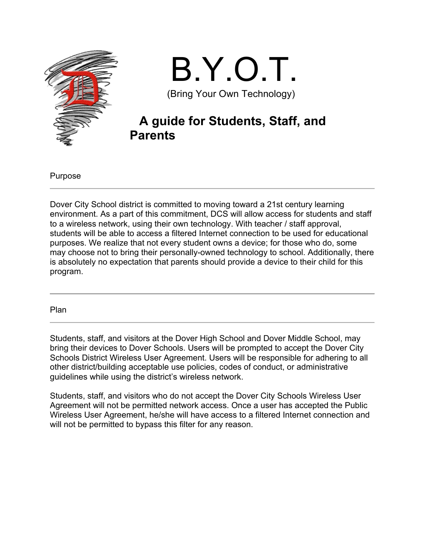

# B.Y.O.T. (Bring Your Own Technology)

## **A guide for Students, Staff, and Parents**

Purpose

Dover City School district is committed to moving toward a 21st century learning environment. As a part of this commitment, DCS will allow access for students and staff to a wireless network, using their own technology. With teacher / staff approval, students will be able to access a filtered Internet connection to be used for educational purposes. We realize that not every student owns a device; for those who do, some may choose not to bring their personally-owned technology to school. Additionally, there is absolutely no expectation that parents should provide a device to their child for this program.

Plan

Students, staff, and visitors at the Dover High School and Dover Middle School, may bring their devices to Dover Schools. Users will be prompted to accept the Dover City Schools District Wireless User Agreement. Users will be responsible for adhering to all other district/building acceptable use policies, codes of conduct, or administrative guidelines while using the district's wireless network.

Students, staff, and visitors who do not accept the Dover City Schools Wireless User Agreement will not be permitted network access. Once a user has accepted the Public Wireless User Agreement, he/she will have access to a filtered Internet connection and will not be permitted to bypass this filter for any reason.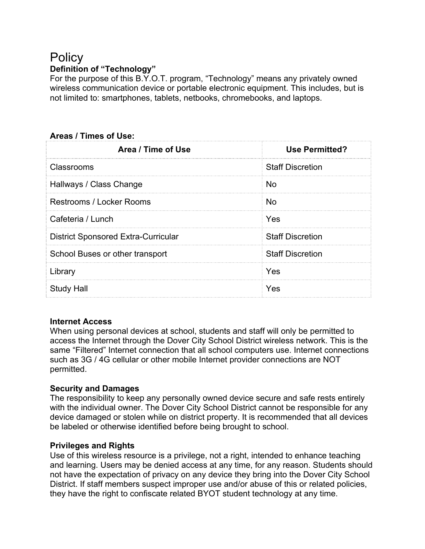### **Policy Definition of "Technology"**

For the purpose of this B.Y.O.T. program, "Technology" means any privately owned wireless communication device or portable electronic equipment. This includes, but is not limited to: smartphones, tablets, netbooks, chromebooks, and laptops.

#### **Areas / Times of Use:**

| Area / Time of Use                         | <b>Use Permitted?</b>   |
|--------------------------------------------|-------------------------|
| <b>Classrooms</b>                          | <b>Staff Discretion</b> |
| Hallways / Class Change                    | <b>No</b>               |
| <b>Restrooms / Locker Rooms</b>            | No                      |
| Cafeteria / Lunch                          | Yes                     |
| <b>District Sponsored Extra-Curricular</b> | <b>Staff Discretion</b> |
| School Buses or other transport            | <b>Staff Discretion</b> |
| Library                                    | Yes                     |
| <b>Study Hall</b>                          | Yes                     |

#### **Internet Access**

When using personal devices at school, students and staff will only be permitted to access the Internet through the Dover City School District wireless network. This is the same "Filtered" Internet connection that all school computers use. Internet connections such as 3G / 4G cellular or other mobile Internet provider connections are NOT permitted.

#### **Security and Damages**

The responsibility to keep any personally owned device secure and safe rests entirely with the individual owner. The Dover City School District cannot be responsible for any device damaged or stolen while on district property. It is recommended that all devices be labeled or otherwise identified before being brought to school.

#### **Privileges and Rights**

Use of this wireless resource is a privilege, not a right, intended to enhance teaching and learning. Users may be denied access at any time, for any reason. Students should not have the expectation of privacy on any device they bring into the Dover City School District. If staff members suspect improper use and/or abuse of this or related policies, they have the right to confiscate related BYOT student technology at any time.